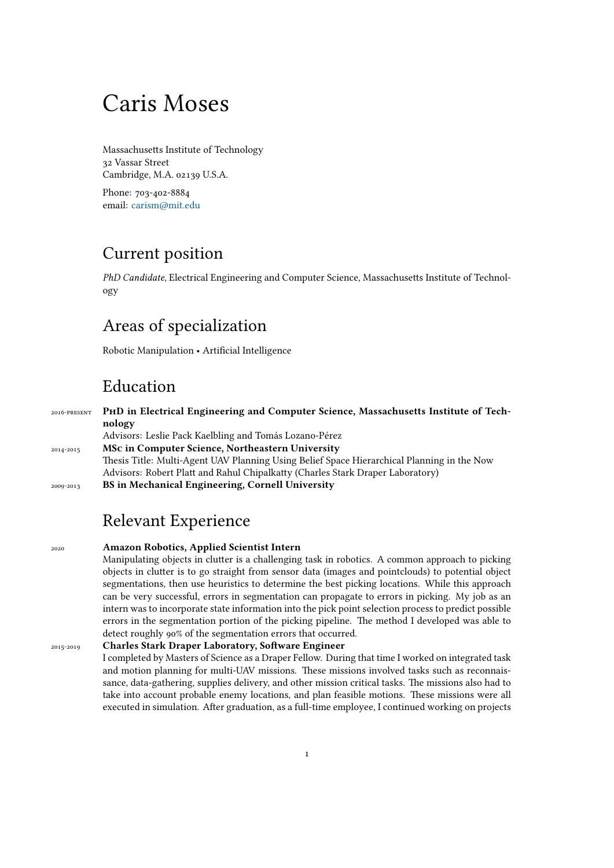# Caris Moses

Massachusetts Institute of Technology 32 Vassar Street Cambridge, M.A. 02139 U.S.A.

Phone: 703-402-8884 email: [carism@mit.edu](mailto:carism@mit.edu)

### Current position

*PhD Candidate*, Electrical Engineering and Computer Science, Massachusetts Institute of Technology

### Areas of specialization

Robotic Manipulation • Artificial Intelligence

## Education

2016-present **PhD in Electrical Engineering and Computer Science, Massachusetts Institute of Technology** Advisors: Leslie Pack Kaelbling and Tomás Lozano-Pérez 2014-2015 **MSc in Computer Science, Northeastern University** Thesis Title: Multi-Agent UAV Planning Using Belief Space Hierarchical Planning in the Now Advisors: Robert Platt and Rahul Chipalkatty (Charles Stark Draper Laboratory) 2009-2013 **BS in Mechanical Engineering, Cornell University**

# Relevant Experience

2020 **Amazon Robotics, Applied Scientist Intern** Manipulating objects in clutter is a challenging task in robotics. A common approach to picking objects in clutter is to go straight from sensor data (images and pointclouds) to potential object segmentations, then use heuristics to determine the best picking locations. While this approach can be very successful, errors in segmentation can propagate to errors in picking. My job as an intern was to incorporate state information into the pick point selection process to predict possible errors in the segmentation portion of the picking pipeline. The method I developed was able to detect roughly 90% of the segmentation errors that occurred. 2015-2019 **Charles Stark Draper Laboratory, Software Engineer** I completed by Masters of Science as a Draper Fellow. During that time I worked on integrated task and motion planning for multi-UAV missions. These missions involved tasks such as reconnaissance, data-gathering, supplies delivery, and other mission critical tasks. The missions also had to take into account probable enemy locations, and plan feasible motions. These missions were all

executed in simulation. After graduation, as a full-time employee, I continued working on projects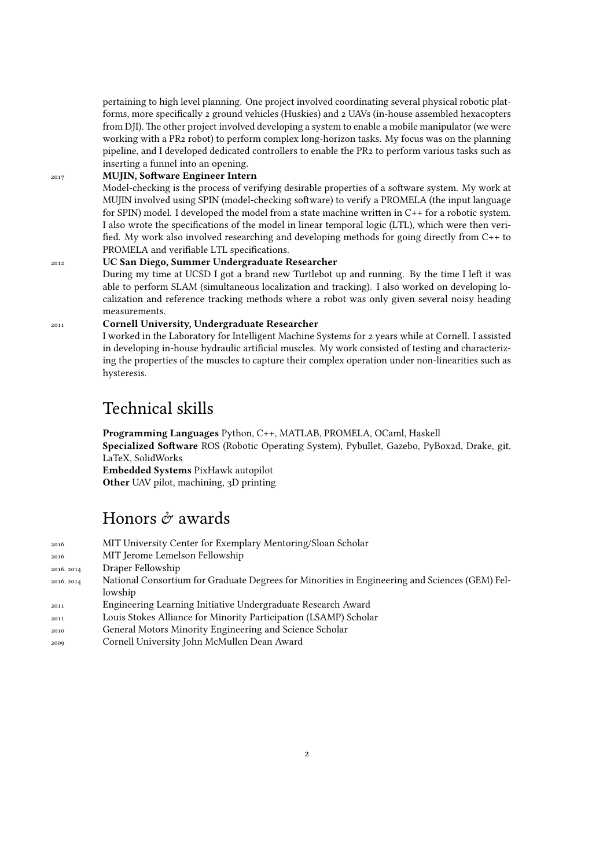pertaining to high level planning. One project involved coordinating several physical robotic platforms, more specifically 2 ground vehicles (Huskies) and 2 UAVs (in-house assembled hexacopters from DJI). The other project involved developing a system to enable a mobile manipulator (we were working with a PR2 robot) to perform complex long-horizon tasks. My focus was on the planning pipeline, and I developed dedicated controllers to enable the PR2 to perform various tasks such as inserting a funnel into an opening.

### <sup>2017</sup> **MUJIN, Software Engineer Intern**

Model-checking is the process of verifying desirable properties of a software system. My work at MUJIN involved using SPIN (model-checking software) to verify a PROMELA (the input language for SPIN) model. I developed the model from a state machine written in C++ for a robotic system. I also wrote the specifications of the model in linear temporal logic (LTL), which were then verified. My work also involved researching and developing methods for going directly from C++ to PROMELA and verifiable LTL specifications.

#### <sup>2012</sup> **UC San Diego, Summer Undergraduate Researcher**

During my time at UCSD I got a brand new Turtlebot up and running. By the time I left it was able to perform SLAM (simultaneous localization and tracking). I also worked on developing localization and reference tracking methods where a robot was only given several noisy heading measurements.

### <sup>2011</sup> **Cornell University, Undergraduate Researcher**

I worked in the Laboratory for Intelligent Machine Systems for 2 years while at Cornell. I assisted in developing in-house hydraulic artificial muscles. My work consisted of testing and characterizing the properties of the muscles to capture their complex operation under non-linearities such as hysteresis.

### Technical skills

**Programming Languages** Python, C++, MATLAB, PROMELA, OCaml, Haskell **Specialized Software** ROS (Robotic Operating System), Pybullet, Gazebo, PyBox2d, Drake, git, LaTeX, SolidWorks **Embedded Systems** PixHawk autopilot **Other** UAV pilot, machining, 3D printing

### Honors  $\hat{\sigma}$  awards

| 2016       | MIT University Center for Exemplary Mentoring/Sloan Scholar                                    |
|------------|------------------------------------------------------------------------------------------------|
| 2016       | MIT Jerome Lemelson Fellowship                                                                 |
| 2016, 2014 | Draper Fellowship                                                                              |
| 2016, 2014 | National Consortium for Graduate Degrees for Minorities in Engineering and Sciences (GEM) Fel- |
|            | lowship                                                                                        |
| 2011       | Engineering Learning Initiative Undergraduate Research Award                                   |
| 2011       | Louis Stokes Alliance for Minority Participation (LSAMP) Scholar                               |
| 2010       | General Motors Minority Engineering and Science Scholar                                        |
| 2009       | Cornell University John McMullen Dean Award                                                    |